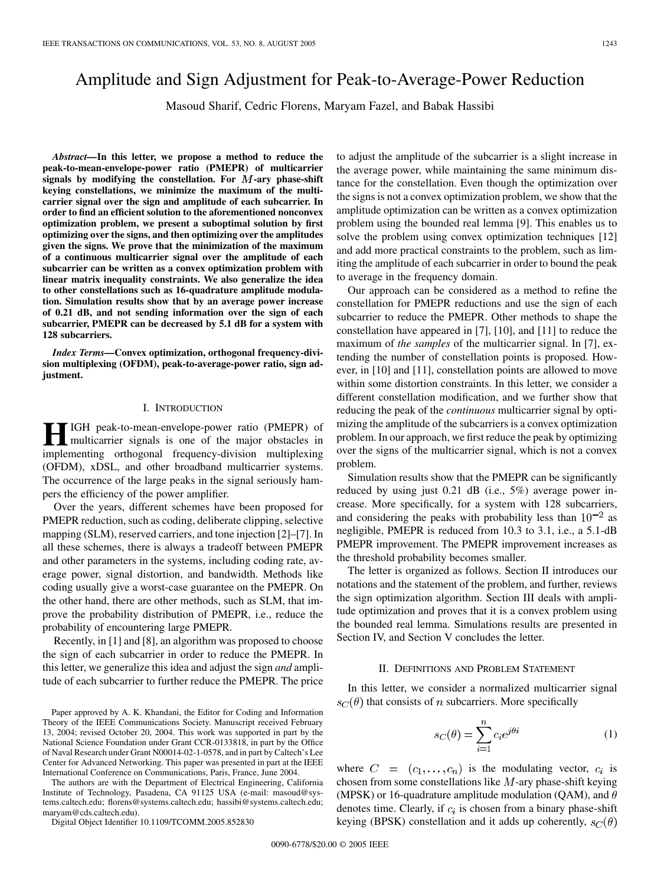# Amplitude and Sign Adjustment for Peak-to-Average-Power Reduction

Masoud Sharif, Cedric Florens, Maryam Fazel, and Babak Hassibi

*Abstract—***In this letter, we propose a method to reduce the peak-to-mean-envelope-power ratio (PMEPR) of multicarrier**  $s$ ignals by modifying the constellation. For  $M$ -ary phase-shift **keying constellations, we minimize the maximum of the multicarrier signal over the sign and amplitude of each subcarrier. In order to find an efficient solution to the aforementioned nonconvex optimization problem, we present a suboptimal solution by first optimizing over the signs, and then optimizing over the amplitudes given the signs. We prove that the minimization of the maximum of a continuous multicarrier signal over the amplitude of each subcarrier can be written as a convex optimization problem with linear matrix inequality constraints. We also generalize the idea to other constellations such as 16-quadrature amplitude modulation. Simulation results show that by an average power increase of 0.21 dB, and not sending information over the sign of each subcarrier, PMEPR can be decreased by 5.1 dB for a system with 128 subcarriers.**

*Index Terms—***Convex optimization, orthogonal frequency-division multiplexing (OFDM), peak-to-average-power ratio, sign adjustment.**

## I. INTRODUCTION

**H**IGH peak-to-mean-envelope-power ratio (PMEPR) of multicarrier signals is one of the major obstacles in implementing exthesional frequency division multiplemine implementing orthogonal frequency-division multiplexing (OFDM), xDSL, and other broadband multicarrier systems. The occurrence of the large peaks in the signal seriously hampers the efficiency of the power amplifier.

Over the years, different schemes have been proposed for PMEPR reduction, such as coding, deliberate clipping, selective mapping (SLM), reserved carriers, and tone injection [[2\]](#page-3-0)–[\[7](#page-4-0)]. In all these schemes, there is always a tradeoff between PMEPR and other parameters in the systems, including coding rate, average power, signal distortion, and bandwidth. Methods like coding usually give a worst-case guarantee on the PMEPR. On the other hand, there are other methods, such as SLM, that improve the probability distribution of PMEPR, i.e., reduce the probability of encountering large PMEPR.

Recently, in [[1](#page-3-0)] and [[8\]](#page-4-0), an algorithm was proposed to choose the sign of each subcarrier in order to reduce the PMEPR. In this letter, we generalize this idea and adjust the sign *and* amplitude of each subcarrier to further reduce the PMEPR. The price

The authors are with the Department of Electrical Engineering, California Institute of Technology, Pasadena, CA 91125 USA (e-mail: masoud@systems.caltech.edu; florens@systems.caltech.edu; hassibi@systems.caltech.edu; maryam@cds.caltech.edu).

Digital Object Identifier 10.1109/TCOMM.2005.852830

to adjust the amplitude of the subcarrier is a slight increase in the average power, while maintaining the same minimum distance for the constellation. Even though the optimization over the signs is not a convex optimization problem, we show that the amplitude optimization can be written as a convex optimization problem using the bounded real lemma [\[9](#page-4-0)]. This enables us to solve the problem using convex optimization techniques [[12\]](#page-4-0) and add more practical constraints to the problem, such as limiting the amplitude of each subcarrier in order to bound the peak to average in the frequency domain.

Our approach can be considered as a method to refine the constellation for PMEPR reductions and use the sign of each subcarrier to reduce the PMEPR. Other methods to shape the constellation have appeared in [\[7](#page-4-0)], [\[10](#page-4-0)], and [\[11](#page-4-0)] to reduce the maximum of *the samples* of the multicarrier signal. In [[7\]](#page-4-0), extending the number of constellation points is proposed. However, in [\[10](#page-4-0)] and [\[11](#page-4-0)], constellation points are allowed to move within some distortion constraints. In this letter, we consider a different constellation modification, and we further show that reducing the peak of the *continuous* multicarrier signal by optimizing the amplitude of the subcarriers is a convex optimization problem. In our approach, we first reduce the peak by optimizing over the signs of the multicarrier signal, which is not a convex problem.

Simulation results show that the PMEPR can be significantly reduced by using just 0.21 dB (i.e., 5%) average power increase. More specifically, for a system with 128 subcarriers, and considering the peaks with probability less than  $10^{-2}$  as negligible, PMEPR is reduced from 10.3 to 3.1, i.e., a 5.1-dB PMEPR improvement. The PMEPR improvement increases as the threshold probability becomes smaller.

The letter is organized as follows. Section II introduces our notations and the statement of the problem, and further, reviews the sign optimization algorithm. Section III deals with amplitude optimization and proves that it is a convex problem using the bounded real lemma. Simulations results are presented in Section IV, and Section V concludes the letter.

## II. DEFINITIONS AND PROBLEM STATEMENT

In this letter, we consider a normalized multicarrier signal  $s_C(\theta)$  that consists of *n* subcarriers. More specifically

Ś

$$
c_C(\theta) = \sum_{i=1}^{n} c_i e^{j\theta i} \tag{1}
$$

where  $C = (c_1, \ldots, c_n)$  is the modulating vector,  $c_i$  is chosen from some constellations like  $M$ -ary phase-shift keying (MPSK) or 16-quadrature amplitude modulation (QAM), and  $\theta$ denotes time. Clearly, if  $c_i$  is chosen from a binary phase-shift keying (BPSK) constellation and it adds up coherently,  $s_C(\theta)$ 

Paper approved by A. K. Khandani, the Editor for Coding and Information Theory of the IEEE Communications Society. Manuscript received February 13, 2004; revised October 20, 2004. This work was supported in part by the National Science Foundation under Grant CCR-0133818, in part by the Office of Naval Research under Grant N00014-02-1-0578, and in part by Caltech's Lee Center for Advanced Networking. This paper was presented in part at the IEEE International Conference on Communications, Paris, France, June 2004.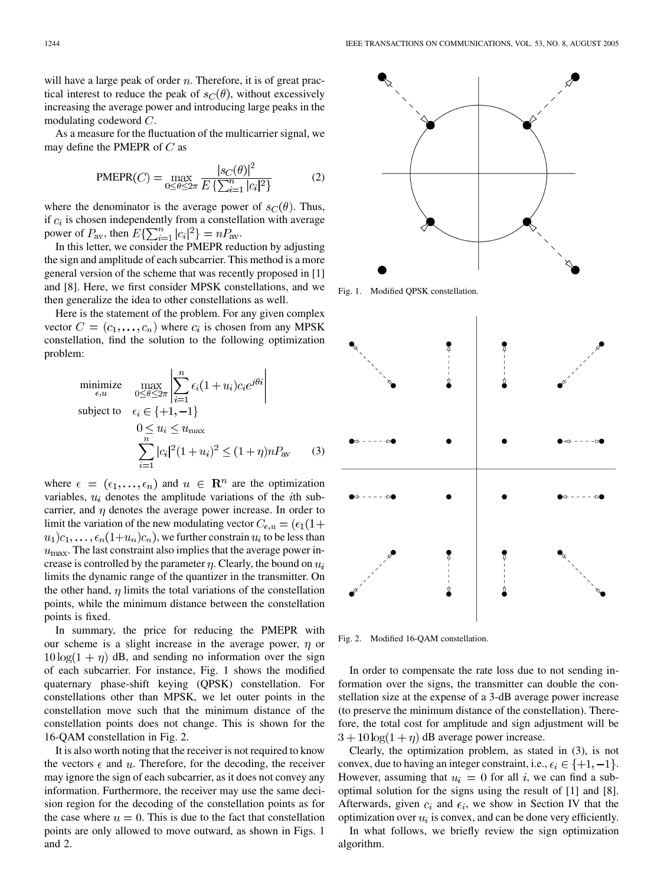will have a large peak of order  $n$ . Therefore, it is of great practical interest to reduce the peak of  $s_C(\theta)$ , without excessively increasing the average power and introducing large peaks in the modulating codeword  $C$ .

As a measure for the fluctuation of the multicarrier signal, we may define the PMEPR of  $C$  as

PMEPR(C) = 
$$
\max_{0 \le \theta \le 2\pi} \frac{|s_C(\theta)|^2}{E\left\{\sum_{i=1}^n |c_i|^2\right\}}
$$
 (2)

where the denominator is the average power of  $s_C(\theta)$ . Thus, if  $c_i$  is chosen independently from a constellation with average power of  $P_{\text{av}}$ , then  $E\{\sum_{i=1}^{n}|c_i|^2\}=nP_{\text{av}}$ .

In this letter, we consider the PMEPR reduction by adjusting the sign and amplitude of each subcarrier. This method is a more general version of the scheme that was recently proposed in [\[1](#page-3-0)] and [[8\]](#page-4-0). Here, we first consider MPSK constellations, and we then generalize the idea to other constellations as well.

Here is the statement of the problem. For any given complex vector  $C = (c_1, \ldots, c_n)$  where  $c_i$  is chosen from any MPSK constellation, find the solution to the following optimization problem:

$$
\begin{aligned}\n\text{minimize} & \quad \max_{\epsilon, u} \left| \sum_{0 \le \theta \le 2\pi}^{n} \left| \sum_{i=1}^{n} \epsilon_i (1 + u_i) c_i e^{j\theta i} \right| \right. \\
\text{subject to} & \quad \epsilon_i \in \{+1, -1\} \\
& 0 \le u_i \le u_{\text{max}} \\
& \quad \sum_{i=1}^{n} |c_i|^2 (1 + u_i)^2 \le (1 + \eta) n P_{\text{av}} \end{aligned} \tag{3}
$$

where  $\epsilon = (\epsilon_1, ..., \epsilon_n)$  and  $u \in \mathbb{R}^n$  are the optimization variables,  $u_i$  denotes the amplitude variations of the *i*th subcarrier, and  $\eta$  denotes the average power increase. In order to limit the variation of the new modulating vector  $C_{\epsilon, u} = (\epsilon_1(1 +$  $(u_1)c_1,\ldots,\epsilon_n(1+u_n)c_n$ ), we further constrain  $u_i$  to be less than  $u_{\text{max}}$ . The last constraint also implies that the average power increase is controlled by the parameter  $\eta$ . Clearly, the bound on  $u_i$ limits the dynamic range of the quantizer in the transmitter. On the other hand,  $\eta$  limits the total variations of the constellation points, while the minimum distance between the constellation points is fixed.

In summary, the price for reducing the PMEPR with our scheme is a slight increase in the average power,  $\eta$  or  $10\log(1 + \eta)$  dB, and sending no information over the sign of each subcarrier. For instance, Fig. 1 shows the modified quaternary phase-shift keying (QPSK) constellation. For constellations other than MPSK, we let outer points in the constellation move such that the minimum distance of the constellation points does not change. This is shown for the 16-QAM constellation in Fig. 2.

It is also worth noting that the receiver is not required to know the vectors  $\epsilon$  and  $u$ . Therefore, for the decoding, the receiver may ignore the sign of each subcarrier, as it does not convey any information. Furthermore, the receiver may use the same decision region for the decoding of the constellation points as for the case where  $u = 0$ . This is due to the fact that constellation points are only allowed to move outward, as shown in Figs. 1 and 2.



Fig. 1. Modified QPSK constellation.



Fig. 2. Modified 16-QAM constellation.

In order to compensate the rate loss due to not sending information over the signs, the transmitter can double the constellation size at the expense of a 3-dB average power increase (to preserve the minimum distance of the constellation). Therefore, the total cost for amplitude and sign adjustment will be  $3 + 10 \log(1 + \eta)$  dB average power increase.

Clearly, the optimization problem, as stated in (3), is not convex, due to having an integer constraint, i.e.,  $\epsilon_i \in \{+1, -1\}$ . However, assuming that  $u_i = 0$  for all i, we can find a suboptimal solution for the signs using the result of [[1\]](#page-3-0) and [[8\]](#page-4-0). Afterwards, given  $c_i$  and  $\epsilon_i$ , we show in Section IV that the optimization over  $u_i$  is convex, and can be done very efficiently.

In what follows, we briefly review the sign optimization algorithm.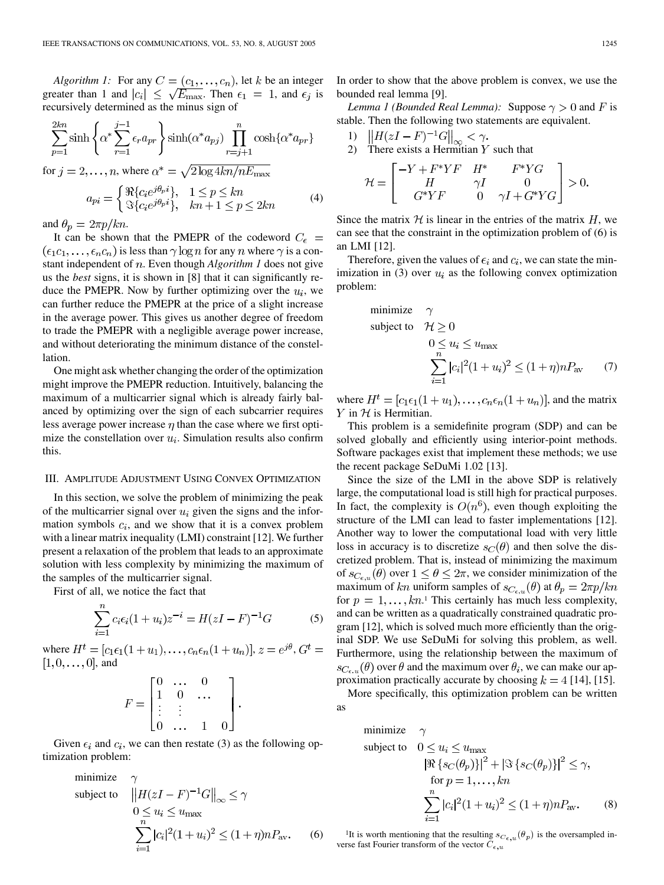*Algorithm 1:* For any  $C = (c_1, \ldots, c_n)$ , let k be an integer greater than 1 and  $|c_i| \leq \sqrt{E_{\text{max}}}$ . Then  $\epsilon_1 = 1$ , and  $\epsilon_j$  is recursively determined as the minus sign of

$$
\sum_{p=1}^{2kn} \sinh \left\{ \alpha^* \sum_{r=1}^{j-1} \epsilon_r a_{pr} \right\} \sinh(\alpha^* a_{pj}) \prod_{r=j+1}^n \cosh \{\alpha^* a_{pr}\}
$$

for  $j = 2, ..., n$ , where  $\alpha^* = \sqrt{2 \log 4kn/nE_{\text{max}}}$ 

$$
a_{pi} = \begin{cases} \Re\{c_i e^{j\theta_p i}\}, & 1 \le p \le kn\\ \Im\{c_i e^{j\theta_p i}\}, & kn+1 \le p \le 2kn \end{cases}
$$
 (4)

and  $\theta_p = 2\pi p/kn$ .

It can be shown that the PMEPR of the codeword  $C_{\epsilon}$  =  $(\epsilon_1 c_1, \ldots, \epsilon_n c_n)$  is less than  $\gamma \log n$  for any n where  $\gamma$  is a constant independent of  $n$ . Even though  $Algorithm\,1$  does not give us the *best* signs, it is shown in [\[8](#page-4-0)] that it can significantly reduce the PMEPR. Now by further optimizing over the  $u_i$ , we can further reduce the PMEPR at the price of a slight increase in the average power. This gives us another degree of freedom to trade the PMEPR with a negligible average power increase, and without deteriorating the minimum distance of the constellation.

One might ask whether changing the order of the optimization might improve the PMEPR reduction. Intuitively, balancing the maximum of a multicarrier signal which is already fairly balanced by optimizing over the sign of each subcarrier requires less average power increase  $\eta$  than the case where we first optimize the constellation over  $u_i$ . Simulation results also confirm this.

#### III. AMPLITUDE ADJUSTMENT USING CONVEX OPTIMIZATION

In this section, we solve the problem of minimizing the peak of the multicarrier signal over  $u_i$  given the signs and the information symbols  $c_i$ , and we show that it is a convex problem with a linear matrix inequality (LMI) constraint [[12](#page-4-0)]. We further present a relaxation of the problem that leads to an approximate solution with less complexity by minimizing the maximum of the samples of the multicarrier signal.

First of all, we notice the fact that

$$
\sum_{i=1}^{n} c_i \epsilon_i (1+u_i) z^{-i} = H(zI - F)^{-1} G \tag{5}
$$

where  $H^t = [c_1 \epsilon_1 (1 + u_1), \dots, c_n \epsilon_n (1 + u_n)], z = e^{j\theta}, G^t =$  $[1, 0, \ldots, 0]$ , and

$$
F = \begin{bmatrix} 0 & \dots & 0 \\ 1 & 0 & \dots \\ \vdots & \vdots & & \\ 0 & \dots & 1 & 0 \end{bmatrix}
$$

Given  $\epsilon_i$  and  $c_i$ , we can then restate (3) as the following optimization problem:

minimize 
$$
\gamma
$$
  
\nsubject to  $||H(zI - F)^{-1}G||_{\infty} \le \gamma$   
\n $0 \le u_i \le u_{\text{max}}$   
\n
$$
\sum_{i=1}^{n} |c_i|^2 (1 + u_i)^2 \le (1 + \eta)nP_{\text{av}}.
$$
 (6)

In order to show that the above problem is convex, we use the bounded real lemma [\[9](#page-4-0)].

*Lemma 1 (Bounded Real Lemma):* Suppose  $\gamma > 0$  and F is stable. Then the following two statements are equivalent.

1) 
$$
\left\|H(zI - F)^{-1}G\right\|_{\infty} < \gamma
$$

2) There exists a Hermitian  $Y$  such that

$$
\mathcal{H} = \begin{bmatrix} -Y + F^*YF & H^* & F^*YG \\ H & \gamma I & 0 \\ G^*YF & 0 & \gamma I + G^*YG \end{bmatrix} > 0.
$$

Since the matrix  $H$  is linear in the entries of the matrix  $H$ , we can see that the constraint in the optimization problem of (6) is an LMI [\[12](#page-4-0)].

Therefore, given the values of  $\epsilon_i$  and  $c_i$ , we can state the minimization in (3) over  $u_i$  as the following convex optimization problem:

minimize 
$$
\gamma
$$
  
\nsubject to  $\mathcal{H} \ge 0$   
\n $0 \le u_i \le u_{\text{max}}$   
\n
$$
\sum_{i=1}^n |c_i|^2 (1+u_i)^2 \le (1+\eta)nP_{\text{av}}
$$
\n(7)

where  $H^t = [c_1\epsilon_1(1+u_1), \ldots, c_n\epsilon_n(1+u_n)]$ , and the matrix  $Y$  in  $H$  is Hermitian.

This problem is a semidefinite program (SDP) and can be solved globally and efficiently using interior-point methods. Software packages exist that implement these methods; we use the recent package SeDuMi 1.02 [\[13](#page-4-0)].

Since the size of the LMI in the above SDP is relatively large, the computational load is still high for practical purposes. In fact, the complexity is  $O(n^6)$ , even though exploiting the structure of the LMI can lead to faster implementations [\[12](#page-4-0)]. Another way to lower the computational load with very little loss in accuracy is to discretize  $s_C(\theta)$  and then solve the discretized problem. That is, instead of minimizing the maximum of  $s_{C_{\epsilon,n}}(\theta)$  over  $1 \leq \theta \leq 2\pi$ , we consider minimization of the maximum of kn uniform samples of  $s_{C_{\epsilon},u}(\theta)$  at  $\theta_p = 2\pi p/kn$ for  $p = 1, \ldots, kn$ . This certainly has much less complexity, and can be written as a quadratically constrained quadratic program [\[12](#page-4-0)], which is solved much more efficiently than the original SDP. We use SeDuMi for solving this problem, as well. Furthermore, using the relationship between the maximum of  $s_{C_{\epsilon,u}}(\theta)$  over  $\theta$  and the maximum over  $\theta_i$ , we can make our approximation practically accurate by choosing  $k = 4$  [\[14](#page-4-0)], [[15\]](#page-4-0).

More specifically, this optimization problem can be written as

minimize 
$$
\gamma
$$
  
\nsubject to  $0 \le u_i \le u_{\text{max}}$   
\n
$$
|\Re\{s_C(\theta_p)\}|^2 + |\Im\{s_C(\theta_p)\}|^2 \le \gamma,
$$
\nfor  $p = 1, ..., kn$   
\n
$$
\sum_{i=1}^n |c_i|^2 (1+u_i)^2 \le (1+\eta)nP_{\text{av}}.
$$
\n(8)

<sup>1</sup>It is worth mentioning that the resulting  $s_{C_{\epsilon}, u}(\theta_p)$  is the oversampled inverse fast Fourier transform of the vector  $C_{\epsilon, u}$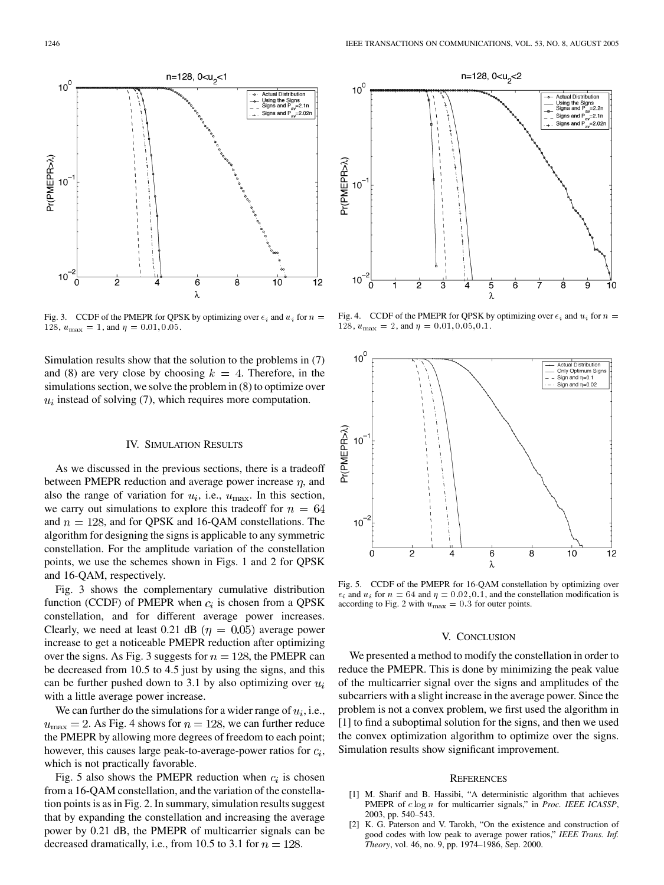<span id="page-3-0"></span>

Fig. 3. CCDF of the PMEPR for QPSK by optimizing over  $\epsilon_i$  and  $u_i$  for  $n =$ 128,  $u_{\text{max}} = 1$ , and  $\eta = 0.01, 0.05$ .

Simulation results show that the solution to the problems in (7) and (8) are very close by choosing  $k = 4$ . Therefore, in the simulations section, we solve the problem in (8) to optimize over  $u_i$  instead of solving (7), which requires more computation.

## IV. SIMULATION RESULTS

As we discussed in the previous sections, there is a tradeoff between PMEPR reduction and average power increase  $\eta$ , and also the range of variation for  $u_i$ , i.e.,  $u_{\text{max}}$ . In this section, we carry out simulations to explore this tradeoff for  $n = 64$ and  $n = 128$ , and for QPSK and 16-QAM constellations. The algorithm for designing the signs is applicable to any symmetric constellation. For the amplitude variation of the constellation points, we use the schemes shown in Figs. 1 and 2 for QPSK and 16-QAM, respectively.

Fig. 3 shows the complementary cumulative distribution function (CCDF) of PMEPR when  $c_i$  is chosen from a QPSK constellation, and for different average power increases. Clearly, we need at least 0.21 dB ( $\eta = 0.05$ ) average power increase to get a noticeable PMEPR reduction after optimizing over the signs. As Fig. 3 suggests for  $n = 128$ , the PMEPR can be decreased from 10.5 to 4.5 just by using the signs, and this can be further pushed down to 3.1 by also optimizing over  $u_i$ with a little average power increase.

We can further do the simulations for a wider range of  $u_i$ , i.e.,  $u_{\text{max}} = 2$ . As Fig. 4 shows for  $n = 128$ , we can further reduce the PMEPR by allowing more degrees of freedom to each point; however, this causes large peak-to-average-power ratios for  $c_i$ , which is not practically favorable.

Fig. 5 also shows the PMEPR reduction when  $c_i$  is chosen from a 16-QAM constellation, and the variation of the constellation points is as in Fig. 2. In summary, simulation results suggest that by expanding the constellation and increasing the average power by 0.21 dB, the PMEPR of multicarrier signals can be decreased dramatically, i.e., from 10.5 to 3.1 for  $n = 128$ .



Fig. 4. CCDF of the PMEPR for QPSK by optimizing over  $\epsilon_i$  and  $u_i$  for  $n =$ 128,  $u_{\text{max}} = 2$ , and  $\eta = 0.01, 0.05, 0.1$ .



Fig. 5. CCDF of the PMEPR for 16-QAM constellation by optimizing over  $\epsilon_i$  and  $u_i$  for  $n = 64$  and  $\eta = 0.02, 0.1$ , and the constellation modification is according to Fig. 2 with  $u_{\text{max}} = 0.3$  for outer points.

### V. CONCLUSION

We presented a method to modify the constellation in order to reduce the PMEPR. This is done by minimizing the peak value of the multicarrier signal over the signs and amplitudes of the subcarriers with a slight increase in the average power. Since the problem is not a convex problem, we first used the algorithm in [1] to find a suboptimal solution for the signs, and then we used the convex optimization algorithm to optimize over the signs. Simulation results show significant improvement.

#### **REFERENCES**

- [1] M. Sharif and B. Hassibi, "A deterministic algorithm that achieves PMEPR of clog n for multicarrier signals," in *Proc. IEEE ICASSP*, 2003, pp. 540–543.
- [2] K. G. Paterson and V. Tarokh, "On the existence and construction of good codes with low peak to average power ratios," *IEEE Trans. Inf. Theory*, vol. 46, no. 9, pp. 1974–1986, Sep. 2000.